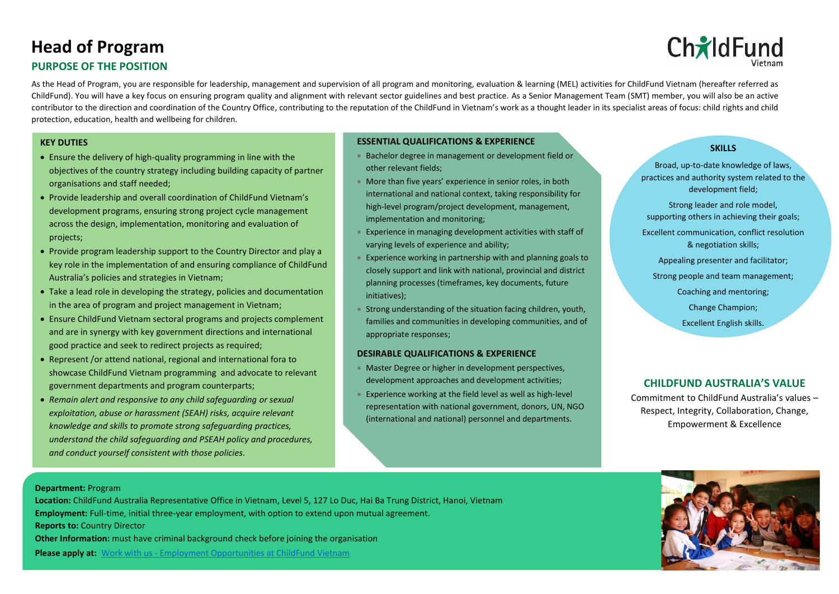# **Head of Program**

# **PURPOSE OF THE POSITION**

As the Head of Program, you are responsible for leadership, management and supervision of all program and monitoring, evaluation & learning (MEL) activities for ChildFund Vietnam (hereafter referred as ChildFund). You will have a key focus on ensuring program quality and alignment with relevant sector guidelines and best practice. As a Senior Management Team (SMT) member, you will also be an active contributor to the direction and coordination of the Country Office, contributing to the reputation of the ChildFund in Vietnam's work as a thought leader in its specialist areas of focus: child rights and child protection, education, health and wellbeing for children.

## **KEY DUTIES**

- Ensure the delivery of high-quality programming in line with the objectives of the country strategy including building capacity of partner organisations and staff needed;
- Provide leadership and overall coordination of ChildFund Vietnam's development programs, ensuring strong project cycle management across the design, implementation, monitoring and evaluation of projects;
- Provide program leadership support to the Country Director and play a key role in the implementation of and ensuring compliance of ChildFund Australia's policies and strategies in Vietnam;
- Take a lead role in developing the strategy, policies and documentation in the area of program and project management in Vietnam;
- Ensure ChildFund Vietnam sectoral programs and projects complement and are in synergy with key government directions and international good practice and seek to redirect projects as required;
- Represent /or attend national, regional and international fora to showcase ChildFund Vietnam programming and advocate to relevant government departments and program counterparts;
- *Remain alert and responsive to any child safeguarding or sexual exploitation, abuse or harassment (SEAH) risks, acquire relevant knowledge and skills to promote strong safeguarding practices, understand the child safeguarding and PSEAH policy and procedures, and conduct yourself consistent with those policies.*

## **ESSENTIAL QUALIFICATIONS & EXPERIENCE**

- Bachelor degree in management or development field or other relevant fields;
- More than five years' experience in senior roles, in both international and national context, taking responsibility for high-level program/project development, management, implementation and monitoring;
- Experience in managing development activities with staff of varying levels of experience and ability;
- Experience working in partnership with and planning goals to closely support and link with national, provincial and district planning processes (timeframes, key documents, future initiatives);
- Strong understanding of the situation facing children, youth, families and communities in developing communities, and of appropriate responses;

## **DESIRABLE QUALIFICATIONS & EXPERIENCE**

- **Master Degree or higher in development perspectives,** development approaches and development activities;
- Experience working at the field level as well as high-level representation with national government, donors, UN, NGO (international and national) personnel and departments.

## **SKILLS**

Broad, up-to-date knowledge of laws, practices and authority system related to the development field;

Strong leader and role model, supporting others in achieving their goals; Excellent communication, conflict resolution & [negotiation skills;](http://www.buzzle.com/articles/negotiation-skills/) Appealing presenter and facilitator; Strong people and team management;

Coaching and mentoring;

Change Champion;

Excellent English skills.

# **CHILDFUND AUSTRALIA'S VALUE**

Commitment to ChildFund Australia's values – Respect, Integrity, Collaboration, Change, Empowerment & Excellence

## **Department:** Program

 **Reports to:** Country Director **Location:** ChildFund Australia Representative Office in Vietnam, Level 5, 127 Lo Duc, Hai Ba Trung District, Hanoi, Vietnam **Employment:** Full-time, initial three-year employment, with option to extend upon mutual agreement. **Other Information:** must have criminal background check before joining the organisation **Please apply at:** Work with us - [Employment Opportunities at ChildFund Vietnam](https://childfund.org.vn/work-with-us/)